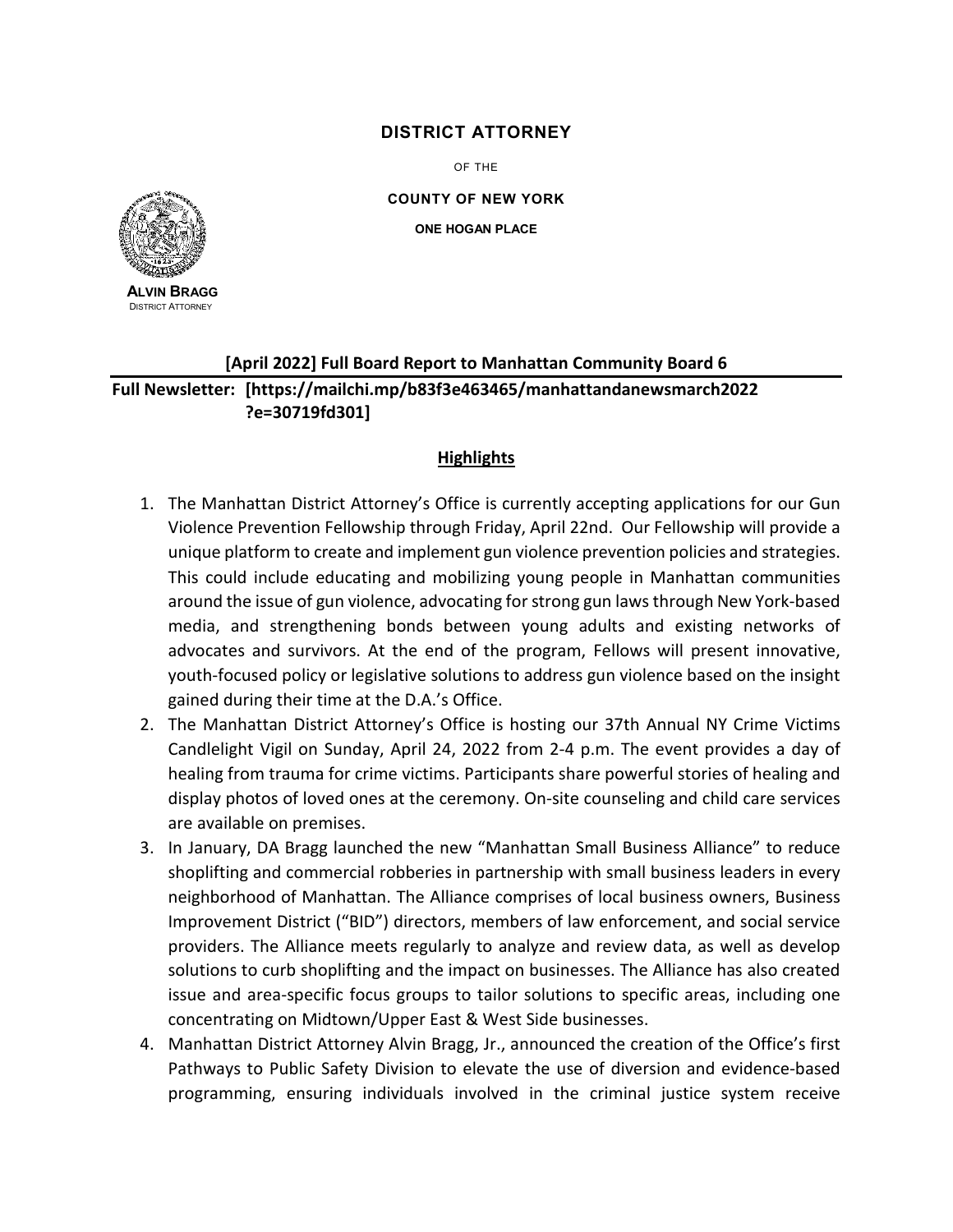## **DISTRICT ATTORNEY**

OF THE

**COUNTY OF NEW YORK ONE HOGAN PLACE**



**ALVIN BRAGG** DISTRICT ATTORNEY

## **[April 2022] Full Board Report to Manhattan Community Board 6 Full Newsletter: [https://mailchi.mp/b83f3e463465/manhattandanewsmarch2022 ?e=30719fd301]**

## **Highlights**

- 1. The Manhattan District Attorney's Office is currently accepting applications for our Gun Violence Prevention Fellowship through Friday, April 22nd. Our Fellowship will provide a unique platform to create and implement gun violence prevention policies and strategies. This could include educating and mobilizing young people in Manhattan communities around the issue of gun violence, advocating for strong gun laws through New York-based media, and strengthening bonds between young adults and existing networks of advocates and survivors. At the end of the program, Fellows will present innovative, youth-focused policy or legislative solutions to address gun violence based on the insight gained during their time at the D.A.'s Office.
- 2. The Manhattan District Attorney's Office is hosting our 37th Annual NY Crime Victims Candlelight Vigil on Sunday, April 24, 2022 from 2-4 p.m. The event provides a day of healing from trauma for crime victims. Participants share powerful stories of healing and display photos of loved ones at the ceremony. On-site counseling and child care services are available on premises.
- 3. In January, DA Bragg launched the new "Manhattan Small Business Alliance" to reduce shoplifting and commercial robberies in partnership with small business leaders in every neighborhood of Manhattan. The Alliance comprises of local business owners, Business Improvement District ("BID") directors, members of law enforcement, and social service providers. The Alliance meets regularly to analyze and review data, as well as develop solutions to curb shoplifting and the impact on businesses. The Alliance has also created issue and area-specific focus groups to tailor solutions to specific areas, including one concentrating on Midtown/Upper East & West Side businesses.
- 4. Manhattan District Attorney Alvin Bragg, Jr., announced the creation of the Office's first Pathways to Public Safety Division to elevate the use of diversion and evidence-based programming, ensuring individuals involved in the criminal justice system receive